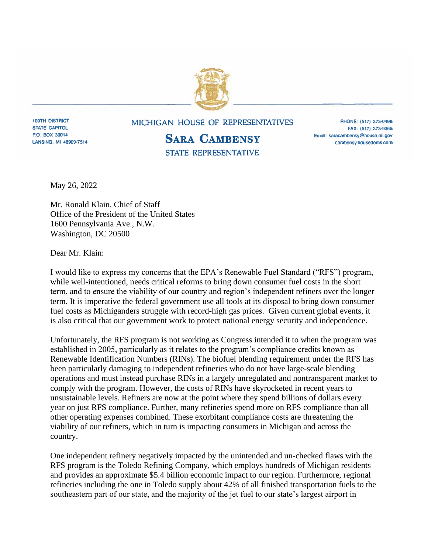

**109TH DISTRICT STATE CAPITOL** P.O. BOX 30014 LANSING, MI 48909-7514

## MICHIGAN HOUSE OF REPRESENTATIVES

## **SARA CAMBENSY** STATE REPRESENTATIVE

PHONE: (517) 373-0498 FAX: (517) 373-9366 Email: saracambensy@house.mi.gov cambensy.housedems.com

May 26, 2022

Mr. Ronald Klain, Chief of Staff Office of the President of the United States 1600 Pennsylvania Ave., N.W. Washington, DC 20500

Dear Mr. Klain:

I would like to express my concerns that the EPA's Renewable Fuel Standard ("RFS") program, while well-intentioned, needs critical reforms to bring down consumer fuel costs in the short term, and to ensure the viability of our country and region's independent refiners over the longer term. It is imperative the federal government use all tools at its disposal to bring down consumer fuel costs as Michiganders struggle with record-high gas prices. Given current global events, it is also critical that our government work to protect national energy security and independence.

Unfortunately, the RFS program is not working as Congress intended it to when the program was established in 2005, particularly as it relates to the program's compliance credits known as Renewable Identification Numbers (RINs). The biofuel blending requirement under the RFS has been particularly damaging to independent refineries who do not have large-scale blending operations and must instead purchase RINs in a largely unregulated and nontransparent market to comply with the program. However, the costs of RINs have skyrocketed in recent years to unsustainable levels. Refiners are now at the point where they spend billions of dollars every year on just RFS compliance. Further, many refineries spend more on RFS compliance than all other operating expenses combined. These exorbitant compliance costs are threatening the viability of our refiners, which in turn is impacting consumers in Michigan and across the country.

One independent refinery negatively impacted by the unintended and un-checked flaws with the RFS program is the Toledo Refining Company, which employs hundreds of Michigan residents and provides an approximate \$5.4 billion economic impact to our region. Furthermore, regional refineries including the one in Toledo supply about 42% of all finished transportation fuels to the southeastern part of our state, and the majority of the jet fuel to our state's largest airport in